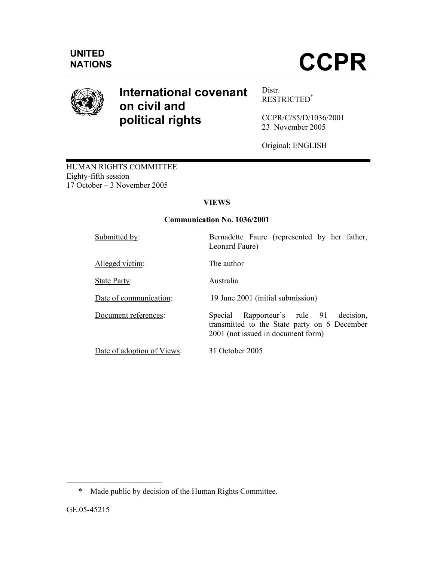

# **International covenant on civil and political rights**

Distr. RESTRICTED\*

CCPR/C/85/D/1036/2001 23 November 2005

Original: ENGLISH

HUMAN RIGHTS COMMITTEE Eighty-fifth session 17 October – 3 November 2005

# **VIEWS**

## **Communication No. 1036/2001**

Submitted by: Bernadette Faure (represented by her father, Leonard Faure) Alleged victim: The author State Party: Australia Date of communication: 19 June 2001 (initial submission) Document references: Special Rapporteur's rule 91 decision, transmitted to the State party on 6 December 2001 (not issued in document form) Date of adoption of Views: 31 October 2005

-

<sup>\*</sup> Made public by decision of the Human Rights Committee.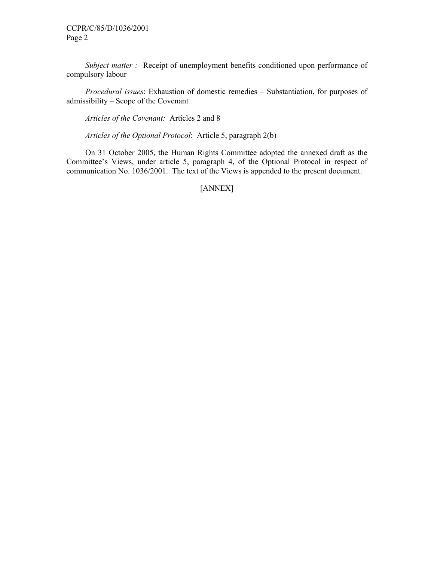*Subject matter :* Receipt of unemployment benefits conditioned upon performance of compulsory labour

 *Procedural issues*: Exhaustion of domestic remedies – Substantiation, for purposes of admissibility – Scope of the Covenant

 *Articles of the Covenant:* Articles 2 and 8

 *Articles of the Optional Protocol*: Article 5, paragraph 2(b)

 On 31 October 2005, the Human Rights Committee adopted the annexed draft as the Committee's Views, under article 5, paragraph 4, of the Optional Protocol in respect of communication No. 1036/2001. The text of the Views is appended to the present document.

[ANNEX]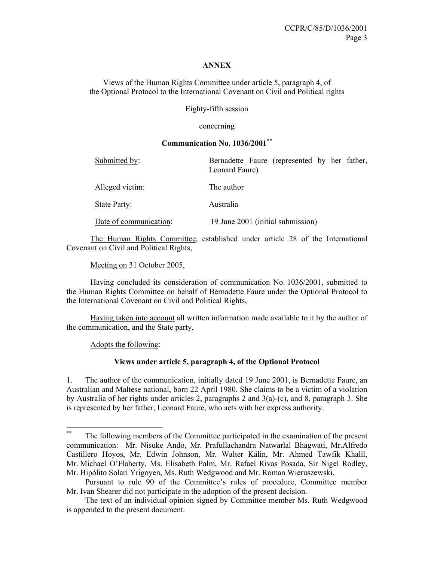#### **ANNEX**

Views of the Human Rights Committee under article 5, paragraph 4, of the Optional Protocol to the International Covenant on Civil and Political rights

Eighty-fifth session

concerning

#### **Communication No. 1036/2001\*\***

| Submitted by:          | Bernadette Faure (represented by her father,<br>Leonard Faure) |
|------------------------|----------------------------------------------------------------|
| Alleged victim:        | The author                                                     |
| State Party:           | Australia                                                      |
| Date of communication: | 19 June 2001 (initial submission)                              |

 The Human Rights Committee, established under article 28 of the International Covenant on Civil and Political Rights,

Meeting on 31 October 2005,

 Having concluded its consideration of communication No. 1036/2001, submitted to the Human Rights Committee on behalf of Bernadette Faure under the Optional Protocol to the International Covenant on Civil and Political Rights,

 Having taken into account all written information made available to it by the author of the communication, and the State party,

Adopts the following:

#### **Views under article 5, paragraph 4, of the Optional Protocol**

1. The author of the communication, initially dated 19 June 2001, is Bernadette Faure, an Australian and Maltese national, born 22 April 1980. She claims to be a victim of a violation by Australia of her rights under articles 2, paragraphs 2 and 3(a)-(c), and 8, paragraph 3. She is represented by her father, Leonard Faure, who acts with her express authority.

 $**$ The following members of the Committee participated in the examination of the present communication: Mr. Nisuke Ando, Mr. Prafullachandra Natwarlal Bhagwati, Mr.Alfredo Castillero Hoyos, Mr. Edwin Johnson, Mr. Walter Kälin, Mr. Ahmed Tawfik Khalil, Mr. Michael O'Flaherty, Ms. Elisabeth Palm, Mr. Rafael Rivas Posada, Sir Nigel Rodley, Mr. Hipólito Solari Yrigoyen, Ms. Ruth Wedgwood and Mr. Roman Wieruszewski.

Pursuant to rule 90 of the Committee's rules of procedure, Committee member Mr. Ivan Shearer did not participate in the adoption of the present decision.

The text of an individual opinion signed by Committee member Ms. Ruth Wedgwood is appended to the present document.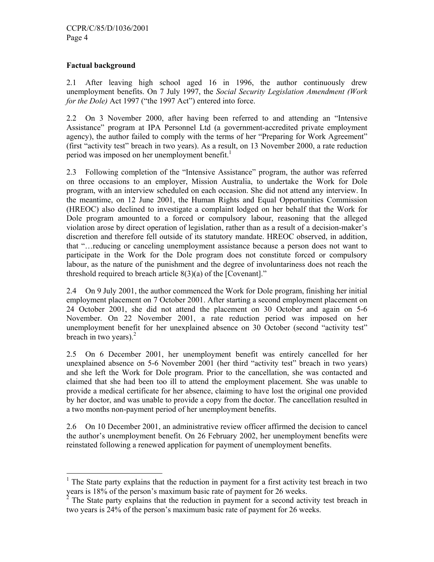## **Factual background**

-

2.1 After leaving high school aged 16 in 1996, the author continuously drew unemployment benefits. On 7 July 1997, the *Social Security Legislation Amendment (Work for the Dole)* Act 1997 ("the 1997 Act") entered into force.

2.2 On 3 November 2000, after having been referred to and attending an "Intensive Assistance" program at IPA Personnel Ltd (a government-accredited private employment agency), the author failed to comply with the terms of her "Preparing for Work Agreement" (first "activity test" breach in two years). As a result, on 13 November 2000, a rate reduction period was imposed on her unemployment benefit.<sup>1</sup>

2.3 Following completion of the "Intensive Assistance" program, the author was referred on three occasions to an employer, Mission Australia, to undertake the Work for Dole program, with an interview scheduled on each occasion. She did not attend any interview. In the meantime, on 12 June 2001, the Human Rights and Equal Opportunities Commission (HREOC) also declined to investigate a complaint lodged on her behalf that the Work for Dole program amounted to a forced or compulsory labour, reasoning that the alleged violation arose by direct operation of legislation, rather than as a result of a decision-maker's discretion and therefore fell outside of its statutory mandate. HREOC observed, in addition, that "…reducing or canceling unemployment assistance because a person does not want to participate in the Work for the Dole program does not constitute forced or compulsory labour, as the nature of the punishment and the degree of involuntariness does not reach the threshold required to breach article 8(3)(a) of the [Covenant]."

2.4 On 9 July 2001, the author commenced the Work for Dole program, finishing her initial employment placement on 7 October 2001. After starting a second employment placement on 24 October 2001, she did not attend the placement on 30 October and again on 5-6 November. On 22 November 2001, a rate reduction period was imposed on her unemployment benefit for her unexplained absence on 30 October (second "activity test" breach in two years). $2$ 

2.5 On 6 December 2001, her unemployment benefit was entirely cancelled for her unexplained absence on 5-6 November 2001 (her third "activity test" breach in two years) and she left the Work for Dole program. Prior to the cancellation, she was contacted and claimed that she had been too ill to attend the employment placement. She was unable to provide a medical certificate for her absence, claiming to have lost the original one provided by her doctor, and was unable to provide a copy from the doctor. The cancellation resulted in a two months non-payment period of her unemployment benefits.

2.6 On 10 December 2001, an administrative review officer affirmed the decision to cancel the author's unemployment benefit. On 26 February 2002, her unemployment benefits were reinstated following a renewed application for payment of unemployment benefits.

<sup>&</sup>lt;sup>1</sup> The State party explains that the reduction in payment for a first activity test breach in two years is 18% of the person's maximum basic rate of payment for 26 weeks.

 $\tilde{c}$  The State party explains that the reduction in payment for a second activity test breach in two years is 24% of the person's maximum basic rate of payment for 26 weeks.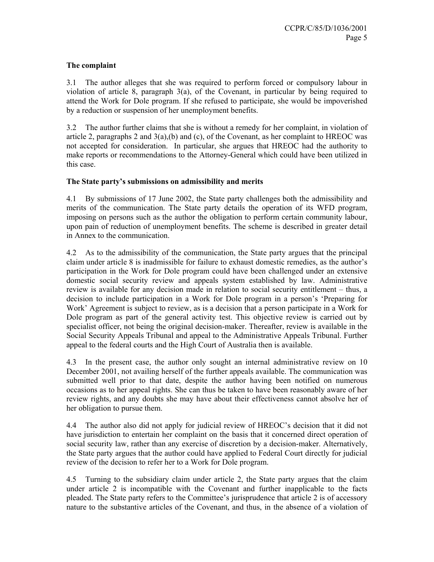## **The complaint**

3.1 The author alleges that she was required to perform forced or compulsory labour in violation of article 8, paragraph 3(a), of the Covenant, in particular by being required to attend the Work for Dole program. If she refused to participate, she would be impoverished by a reduction or suspension of her unemployment benefits.

3.2 The author further claims that she is without a remedy for her complaint, in violation of article 2, paragraphs 2 and  $3(a)$ , (b) and (c), of the Covenant, as her complaint to HREOC was not accepted for consideration. In particular, she argues that HREOC had the authority to make reports or recommendations to the Attorney-General which could have been utilized in this case.

#### **The State party's submissions on admissibility and merits**

4.1 By submissions of 17 June 2002, the State party challenges both the admissibility and merits of the communication. The State party details the operation of its WFD program, imposing on persons such as the author the obligation to perform certain community labour, upon pain of reduction of unemployment benefits. The scheme is described in greater detail in Annex to the communication.

4.2 As to the admissibility of the communication, the State party argues that the principal claim under article 8 is inadmissible for failure to exhaust domestic remedies, as the author's participation in the Work for Dole program could have been challenged under an extensive domestic social security review and appeals system established by law. Administrative review is available for any decision made in relation to social security entitlement – thus, a decision to include participation in a Work for Dole program in a person's 'Preparing for Work' Agreement is subject to review, as is a decision that a person participate in a Work for Dole program as part of the general activity test. This objective review is carried out by specialist officer, not being the original decision-maker. Thereafter, review is available in the Social Security Appeals Tribunal and appeal to the Administrative Appeals Tribunal. Further appeal to the federal courts and the High Court of Australia then is available.

4.3 In the present case, the author only sought an internal administrative review on 10 December 2001, not availing herself of the further appeals available. The communication was submitted well prior to that date, despite the author having been notified on numerous occasions as to her appeal rights. She can thus be taken to have been reasonably aware of her review rights, and any doubts she may have about their effectiveness cannot absolve her of her obligation to pursue them.

4.4 The author also did not apply for judicial review of HREOC's decision that it did not have jurisdiction to entertain her complaint on the basis that it concerned direct operation of social security law, rather than any exercise of discretion by a decision-maker. Alternatively, the State party argues that the author could have applied to Federal Court directly for judicial review of the decision to refer her to a Work for Dole program.

4.5 Turning to the subsidiary claim under article 2, the State party argues that the claim under article 2 is incompatible with the Covenant and further inapplicable to the facts pleaded. The State party refers to the Committee's jurisprudence that article 2 is of accessory nature to the substantive articles of the Covenant, and thus, in the absence of a violation of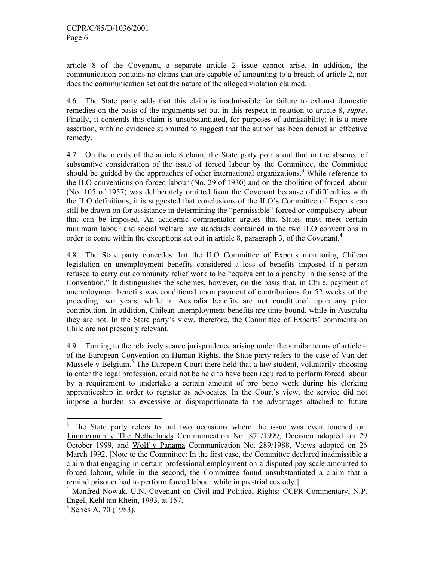article 8 of the Covenant, a separate article 2 issue cannot arise. In addition, the communication contains no claims that are capable of amounting to a breach of article 2, nor does the communication set out the nature of the alleged violation claimed.

4.6 The State party adds that this claim is inadmissible for failure to exhaust domestic remedies on the basis of the arguments set out in this respect in relation to article 8, *supra*. Finally, it contends this claim is unsubstantiated, for purposes of admissibility: it is a mere assertion, with no evidence submitted to suggest that the author has been denied an effective remedy.

4.7 On the merits of the article 8 claim, the State party points out that in the absence of substantive consideration of the issue of forced labour by the Committee, the Committee should be guided by the approaches of other international organizations.<sup>3</sup> While reference to the ILO conventions on forced labour (No. 29 of 1930) and on the abolition of forced labour (No. 105 of 1957) was deliberately omitted from the Covenant because of difficulties with the ILO definitions, it is suggested that conclusions of the ILO's Committee of Experts can still be drawn on for assistance in determining the "permissible" forced or compulsory labour that can be imposed. An academic commentator argues that States must meet certain minimum labour and social welfare law standards contained in the two ILO conventions in order to come within the exceptions set out in article 8, paragraph 3, of the Covenant.<sup>4</sup>

4.8 The State party concedes that the ILO Committee of Experts monitoring Chilean legislation on unemployment benefits considered a loss of benefits imposed if a person refused to carry out community relief work to be "equivalent to a penalty in the sense of the Convention." It distinguishes the schemes, however, on the basis that, in Chile, payment of unemployment benefits was conditional upon payment of contributions for 52 weeks of the preceding two years, while in Australia benefits are not conditional upon any prior contribution. In addition, Chilean unemployment benefits are time-bound, while in Australia they are not. In the State party's view, therefore, the Committee of Experts' comments on Chile are not presently relevant.

4.9 Turning to the relatively scarce jurisprudence arising under the similar terms of article 4 of the European Convention on Human Rights, the State party refers to the case of Van der Mussele v Belgium.<sup>5</sup> The European Court there held that a law student, voluntarily choosing to enter the legal profession, could not be held to have been required to perform forced labour by a requirement to undertake a certain amount of pro bono work during his clerking apprenticeship in order to register as advocates. In the Court's view, the service did not impose a burden so excessive or disproportionate to the advantages attached to future

<sup>&</sup>lt;sup>3</sup> The State party refers to but two occasions where the issue was even touched on: Timmerman v The Netherlands Communication No. 871/1999, Decision adopted on 29 October 1999, and Wolf v Panama Communication No. 289/1988, Views adopted on 26 March 1992. [Note to the Committee: In the first case, the Committee declared inadmissible a claim that engaging in certain professional employment on a disputed pay scale amounted to forced labour, while in the second, the Committee found unsubstantiated a claim that a remind prisoner had to perform forced labour while in pre-trial custody.]

<sup>&</sup>lt;sup>4</sup> Manfred Nowak, U.N. Covenant on Civil and Political Rights: CCPR Commentary, N.P. Engel, Kehl am Rhein, 1993, at 157.

<sup>&</sup>lt;sup>5</sup> Series A, 70 (1983).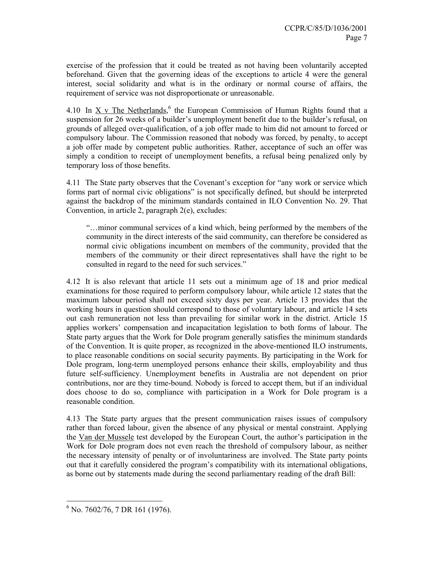exercise of the profession that it could be treated as not having been voluntarily accepted beforehand. Given that the governing ideas of the exceptions to article 4 were the general interest, social solidarity and what is in the ordinary or normal course of affairs, the requirement of service was not disproportionate or unreasonable.

4.10 In  $X$  v The Netherlands,  $6$  the European Commission of Human Rights found that a suspension for 26 weeks of a builder's unemployment benefit due to the builder's refusal, on grounds of alleged over-qualification, of a job offer made to him did not amount to forced or compulsory labour. The Commission reasoned that nobody was forced, by penalty, to accept a job offer made by competent public authorities. Rather, acceptance of such an offer was simply a condition to receipt of unemployment benefits, a refusal being penalized only by temporary loss of those benefits.

4.11 The State party observes that the Covenant's exception for "any work or service which forms part of normal civic obligations" is not specifically defined, but should be interpreted against the backdrop of the minimum standards contained in ILO Convention No. 29. That Convention, in article 2, paragraph 2(e), excludes:

"…minor communal services of a kind which, being performed by the members of the community in the direct interests of the said community, can therefore be considered as normal civic obligations incumbent on members of the community, provided that the members of the community or their direct representatives shall have the right to be consulted in regard to the need for such services."

4.12 It is also relevant that article 11 sets out a minimum age of 18 and prior medical examinations for those required to perform compulsory labour, while article 12 states that the maximum labour period shall not exceed sixty days per year. Article 13 provides that the working hours in question should correspond to those of voluntary labour, and article 14 sets out cash remuneration not less than prevailing for similar work in the district. Article 15 applies workers' compensation and incapacitation legislation to both forms of labour. The State party argues that the Work for Dole program generally satisfies the minimum standards of the Convention. It is quite proper, as recognized in the above-mentioned ILO instruments, to place reasonable conditions on social security payments. By participating in the Work for Dole program, long-term unemployed persons enhance their skills, employability and thus future self-sufficiency. Unemployment benefits in Australia are not dependent on prior contributions, nor are they time-bound. Nobody is forced to accept them, but if an individual does choose to do so, compliance with participation in a Work for Dole program is a reasonable condition.

4.13 The State party argues that the present communication raises issues of compulsory rather than forced labour, given the absence of any physical or mental constraint. Applying the Van der Mussele test developed by the European Court, the author's participation in the Work for Dole program does not even reach the threshold of compulsory labour, as neither the necessary intensity of penalty or of involuntariness are involved. The State party points out that it carefully considered the program's compatibility with its international obligations, as borne out by statements made during the second parliamentary reading of the draft Bill:

<sup>-</sup><sup>6</sup> No. 7602/76, 7 DR 161 (1976).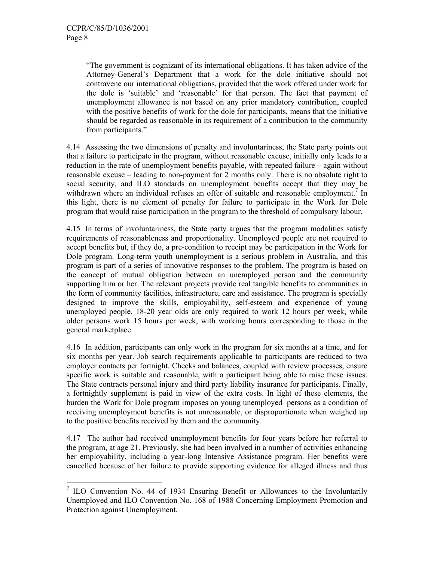"The government is cognizant of its international obligations. It has taken advice of the Attorney-General's Department that a work for the dole initiative should not contravene our international obligations, provided that the work offered under work for the dole is 'suitable' and 'reasonable' for that person. The fact that payment of unemployment allowance is not based on any prior mandatory contribution, coupled with the positive benefits of work for the dole for participants, means that the initiative should be regarded as reasonable in its requirement of a contribution to the community from participants."

4.14 Assessing the two dimensions of penalty and involuntariness, the State party points out that a failure to participate in the program, without reasonable excuse, initially only leads to a reduction in the rate of unemployment benefits payable, with repeated failure – again without reasonable excuse – leading to non-payment for 2 months only. There is no absolute right to social security, and ILO standards on unemployment benefits accept that they may be withdrawn where an individual refuses an offer of suitable and reasonable employment.<sup>7</sup> In this light, there is no element of penalty for failure to participate in the Work for Dole program that would raise participation in the program to the threshold of compulsory labour.

4.15 In terms of involuntariness, the State party argues that the program modalities satisfy requirements of reasonableness and proportionality. Unemployed people are not required to accept benefits but, if they do, a pre-condition to receipt may be participation in the Work for Dole program. Long-term youth unemployment is a serious problem in Australia, and this program is part of a series of innovative responses to the problem. The program is based on the concept of mutual obligation between an unemployed person and the community supporting him or her. The relevant projects provide real tangible benefits to communities in the form of community facilities, infrastructure, care and assistance. The program is specially designed to improve the skills, employability, self-esteem and experience of young unemployed people. 18-20 year olds are only required to work 12 hours per week, while older persons work 15 hours per week, with working hours corresponding to those in the general marketplace.

4.16 In addition, participants can only work in the program for six months at a time, and for six months per year. Job search requirements applicable to participants are reduced to two employer contacts per fortnight. Checks and balances, coupled with review processes, ensure specific work is suitable and reasonable, with a participant being able to raise these issues. The State contracts personal injury and third party liability insurance for participants. Finally, a fortnightly supplement is paid in view of the extra costs. In light of these elements, the burden the Work for Dole program imposes on young unemployed persons as a condition of receiving unemployment benefits is not unreasonable, or disproportionate when weighed up to the positive benefits received by them and the community.

4.17 The author had received unemployment benefits for four years before her referral to the program, at age 21. Previously, she had been involved in a number of activities enhancing her employability, including a year-long Intensive Assistance program. Her benefits were cancelled because of her failure to provide supporting evidence for alleged illness and thus

<sup>&</sup>lt;sup>7</sup> ILO Convention No. 44 of 1934 Ensuring Benefit or Allowances to the Involuntarily Unemployed and ILO Convention No. 168 of 1988 Concerning Employment Promotion and Protection against Unemployment.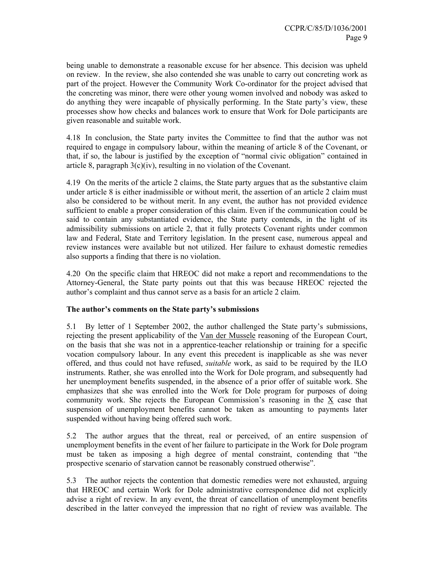being unable to demonstrate a reasonable excuse for her absence. This decision was upheld on review. In the review, she also contended she was unable to carry out concreting work as part of the project. However the Community Work Co-ordinator for the project advised that the concreting was minor, there were other young women involved and nobody was asked to do anything they were incapable of physically performing. In the State party's view, these processes show how checks and balances work to ensure that Work for Dole participants are given reasonable and suitable work.

4.18 In conclusion, the State party invites the Committee to find that the author was not required to engage in compulsory labour, within the meaning of article 8 of the Covenant, or that, if so, the labour is justified by the exception of "normal civic obligation" contained in article 8, paragraph 3(c)(iv), resulting in no violation of the Covenant.

4.19 On the merits of the article 2 claims, the State party argues that as the substantive claim under article 8 is either inadmissible or without merit, the assertion of an article 2 claim must also be considered to be without merit. In any event, the author has not provided evidence sufficient to enable a proper consideration of this claim. Even if the communication could be said to contain any substantiated evidence, the State party contends, in the light of its admissibility submissions on article 2, that it fully protects Covenant rights under common law and Federal, State and Territory legislation. In the present case, numerous appeal and review instances were available but not utilized. Her failure to exhaust domestic remedies also supports a finding that there is no violation.

4.20 On the specific claim that HREOC did not make a report and recommendations to the Attorney-General, the State party points out that this was because HREOC rejected the author's complaint and thus cannot serve as a basis for an article 2 claim.

#### **The author's comments on the State party's submissions**

5.1 By letter of 1 September 2002, the author challenged the State party's submissions, rejecting the present applicability of the Van der Mussele reasoning of the European Court, on the basis that she was not in a apprentice-teacher relationship or training for a specific vocation compulsory labour. In any event this precedent is inapplicable as she was never offered, and thus could not have refused, *suitable* work, as said to be required by the ILO instruments. Rather, she was enrolled into the Work for Dole program, and subsequently had her unemployment benefits suspended, in the absence of a prior offer of suitable work. She emphasizes that she was enrolled into the Work for Dole program for purposes of doing community work. She rejects the European Commission's reasoning in the X case that suspension of unemployment benefits cannot be taken as amounting to payments later suspended without having being offered such work.

5.2 The author argues that the threat, real or perceived, of an entire suspension of unemployment benefits in the event of her failure to participate in the Work for Dole program must be taken as imposing a high degree of mental constraint, contending that "the prospective scenario of starvation cannot be reasonably construed otherwise".

5.3 The author rejects the contention that domestic remedies were not exhausted, arguing that HREOC and certain Work for Dole administrative correspondence did not explicitly advise a right of review. In any event, the threat of cancellation of unemployment benefits described in the latter conveyed the impression that no right of review was available. The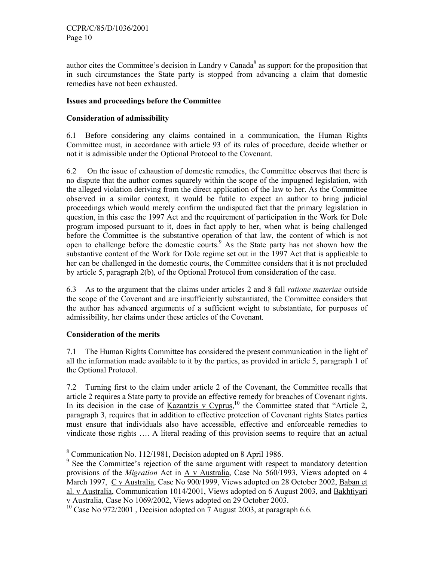author cites the Committee's decision in  $Landry v Canada<sup>8</sup>$  as support for the proposition that</u> in such circumstances the State party is stopped from advancing a claim that domestic remedies have not been exhausted.

#### **Issues and proceedings before the Committee**

#### **Consideration of admissibility**

6.1 Before considering any claims contained in a communication, the Human Rights Committee must, in accordance with article 93 of its rules of procedure, decide whether or not it is admissible under the Optional Protocol to the Covenant.

6.2 On the issue of exhaustion of domestic remedies, the Committee observes that there is no dispute that the author comes squarely within the scope of the impugned legislation, with the alleged violation deriving from the direct application of the law to her. As the Committee observed in a similar context, it would be futile to expect an author to bring judicial proceedings which would merely confirm the undisputed fact that the primary legislation in question, in this case the 1997 Act and the requirement of participation in the Work for Dole program imposed pursuant to it, does in fact apply to her, when what is being challenged before the Committee is the substantive operation of that law, the content of which is not open to challenge before the domestic courts. As the State party has not shown how the substantive content of the Work for Dole regime set out in the 1997 Act that is applicable to her can be challenged in the domestic courts, the Committee considers that it is not precluded by article 5, paragraph 2(b), of the Optional Protocol from consideration of the case.

6.3 As to the argument that the claims under articles 2 and 8 fall *ratione materiae* outside the scope of the Covenant and are insufficiently substantiated, the Committee considers that the author has advanced arguments of a sufficient weight to substantiate, for purposes of admissibility, her claims under these articles of the Covenant.

## **Consideration of the merits**

7.1 The Human Rights Committee has considered the present communication in the light of all the information made available to it by the parties, as provided in article 5, paragraph 1 of the Optional Protocol.

7.2 Turning first to the claim under article 2 of the Covenant, the Committee recalls that article 2 requires a State party to provide an effective remedy for breaches of Covenant rights. In its decision in the case of  $Kazantzis$  v Cyprus,<sup>10</sup> the Committee stated that "Article 2, paragraph 3, requires that in addition to effective protection of Covenant rights States parties must ensure that individuals also have accessible, effective and enforceable remedies to vindicate those rights …. A literal reading of this provision seems to require that an actual

<sup>&</sup>lt;sup>8</sup> Communication No. 112/1981, Decision adopted on 8 April 1986.

<sup>&</sup>lt;sup>9</sup> See the Committee's rejection of the same argument with respect to mandatory detention provisions of the *Migration* Act in A v Australia, Case No 560/1993, Views adopted on 4 March 1997, C v Australia, Case No 900/1999, Views adopted on 28 October 2002, Baban et al. v Australia, Communication 1014/2001, Views adopted on 6 August 2003, and Bakhtiyari v Australia, Case No 1069/2002, Views adopted on 29 October 2003.

 $\frac{10}{10}$  Case No 972/2001, Decision adopted on 7 August 2003, at paragraph 6.6.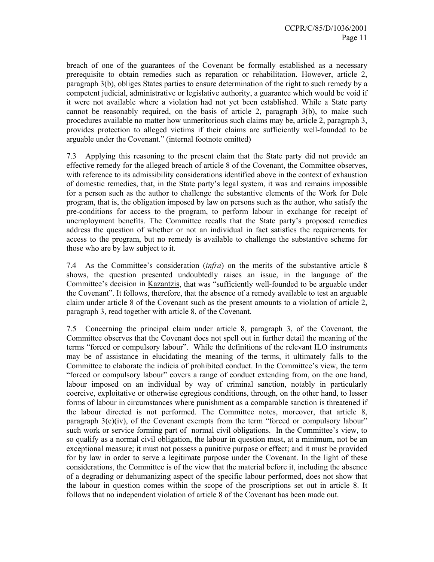breach of one of the guarantees of the Covenant be formally established as a necessary prerequisite to obtain remedies such as reparation or rehabilitation. However, article 2, paragraph 3(b), obliges States parties to ensure determination of the right to such remedy by a competent judicial, administrative or legislative authority, a guarantee which would be void if it were not available where a violation had not yet been established. While a State party cannot be reasonably required, on the basis of article 2, paragraph 3(b), to make such procedures available no matter how unmeritorious such claims may be, article 2, paragraph 3, provides protection to alleged victims if their claims are sufficiently well-founded to be arguable under the Covenant." (internal footnote omitted)

7.3 Applying this reasoning to the present claim that the State party did not provide an effective remedy for the alleged breach of article 8 of the Covenant, the Committee observes, with reference to its admissibility considerations identified above in the context of exhaustion of domestic remedies, that, in the State party's legal system, it was and remains impossible for a person such as the author to challenge the substantive elements of the Work for Dole program, that is, the obligation imposed by law on persons such as the author, who satisfy the pre-conditions for access to the program, to perform labour in exchange for receipt of unemployment benefits. The Committee recalls that the State party's proposed remedies address the question of whether or not an individual in fact satisfies the requirements for access to the program, but no remedy is available to challenge the substantive scheme for those who are by law subject to it.

7.4 As the Committee's consideration (*infra*) on the merits of the substantive article 8 shows, the question presented undoubtedly raises an issue, in the language of the Committee's decision in Kazantzis, that was "sufficiently well-founded to be arguable under the Covenant". It follows, therefore, that the absence of a remedy available to test an arguable claim under article 8 of the Covenant such as the present amounts to a violation of article 2, paragraph 3, read together with article 8, of the Covenant.

7.5 Concerning the principal claim under article 8, paragraph 3, of the Covenant, the Committee observes that the Covenant does not spell out in further detail the meaning of the terms "forced or compulsory labour". While the definitions of the relevant ILO instruments may be of assistance in elucidating the meaning of the terms, it ultimately falls to the Committee to elaborate the indicia of prohibited conduct. In the Committee's view, the term "forced or compulsory labour" covers a range of conduct extending from, on the one hand, labour imposed on an individual by way of criminal sanction, notably in particularly coercive, exploitative or otherwise egregious conditions, through, on the other hand, to lesser forms of labour in circumstances where punishment as a comparable sanction is threatened if the labour directed is not performed. The Committee notes, moreover, that article 8, paragraph  $3(c)(iv)$ , of the Covenant exempts from the term "forced or compulsory labour" such work or service forming part of normal civil obligations. In the Committee's view, to so qualify as a normal civil obligation, the labour in question must, at a minimum, not be an exceptional measure; it must not possess a punitive purpose or effect; and it must be provided for by law in order to serve a legitimate purpose under the Covenant. In the light of these considerations, the Committee is of the view that the material before it, including the absence of a degrading or dehumanizing aspect of the specific labour performed, does not show that the labour in question comes within the scope of the proscriptions set out in article 8. It follows that no independent violation of article 8 of the Covenant has been made out.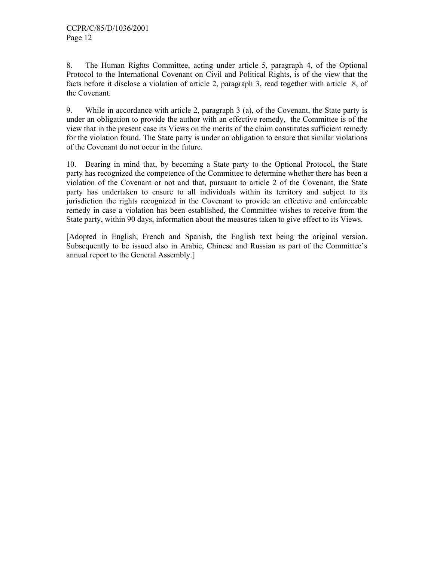8. The Human Rights Committee, acting under article 5, paragraph 4, of the Optional Protocol to the International Covenant on Civil and Political Rights, is of the view that the facts before it disclose a violation of article 2, paragraph 3, read together with article 8, of the Covenant.

9. While in accordance with article 2, paragraph 3 (a), of the Covenant, the State party is under an obligation to provide the author with an effective remedy, the Committee is of the view that in the present case its Views on the merits of the claim constitutes sufficient remedy for the violation found. The State party is under an obligation to ensure that similar violations of the Covenant do not occur in the future.

10. Bearing in mind that, by becoming a State party to the Optional Protocol, the State party has recognized the competence of the Committee to determine whether there has been a violation of the Covenant or not and that, pursuant to article 2 of the Covenant, the State party has undertaken to ensure to all individuals within its territory and subject to its jurisdiction the rights recognized in the Covenant to provide an effective and enforceable remedy in case a violation has been established, the Committee wishes to receive from the State party, within 90 days, information about the measures taken to give effect to its Views.

[Adopted in English, French and Spanish, the English text being the original version. Subsequently to be issued also in Arabic, Chinese and Russian as part of the Committee's annual report to the General Assembly.]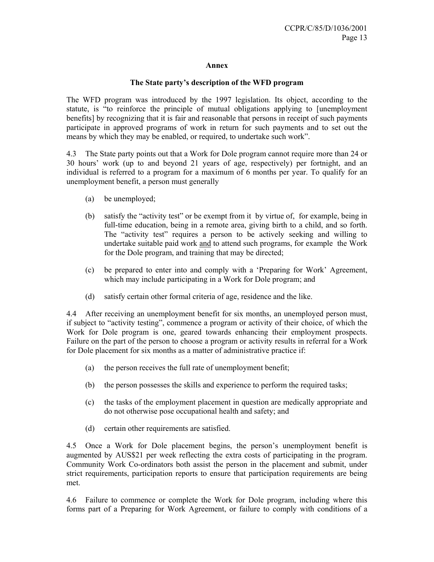#### **Annex**

#### **The State party's description of the WFD program**

The WFD program was introduced by the 1997 legislation. Its object, according to the statute, is "to reinforce the principle of mutual obligations applying to [unemployment benefits] by recognizing that it is fair and reasonable that persons in receipt of such payments participate in approved programs of work in return for such payments and to set out the means by which they may be enabled, or required, to undertake such work".

4.3 The State party points out that a Work for Dole program cannot require more than 24 or 30 hours' work (up to and beyond 21 years of age, respectively) per fortnight, and an individual is referred to a program for a maximum of 6 months per year. To qualify for an unemployment benefit, a person must generally

- (a) be unemployed;
- (b) satisfy the "activity test" or be exempt from it by virtue of, for example, being in full-time education, being in a remote area, giving birth to a child, and so forth. The "activity test" requires a person to be actively seeking and willing to undertake suitable paid work and to attend such programs, for example the Work for the Dole program, and training that may be directed;
- (c) be prepared to enter into and comply with a 'Preparing for Work' Agreement, which may include participating in a Work for Dole program; and
- (d) satisfy certain other formal criteria of age, residence and the like.

4.4 After receiving an unemployment benefit for six months, an unemployed person must, if subject to "activity testing", commence a program or activity of their choice, of which the Work for Dole program is one, geared towards enhancing their employment prospects. Failure on the part of the person to choose a program or activity results in referral for a Work for Dole placement for six months as a matter of administrative practice if:

- (a) the person receives the full rate of unemployment benefit;
- (b) the person possesses the skills and experience to perform the required tasks;
- (c) the tasks of the employment placement in question are medically appropriate and do not otherwise pose occupational health and safety; and
- (d) certain other requirements are satisfied.

4.5 Once a Work for Dole placement begins, the person's unemployment benefit is augmented by AUS\$21 per week reflecting the extra costs of participating in the program. Community Work Co-ordinators both assist the person in the placement and submit, under strict requirements, participation reports to ensure that participation requirements are being met.

4.6 Failure to commence or complete the Work for Dole program, including where this forms part of a Preparing for Work Agreement, or failure to comply with conditions of a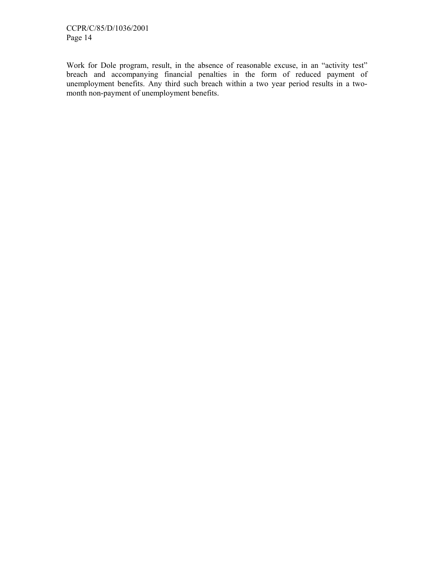Work for Dole program, result, in the absence of reasonable excuse, in an "activity test" breach and accompanying financial penalties in the form of reduced payment of unemployment benefits. Any third such breach within a two year period results in a twomonth non-payment of unemployment benefits.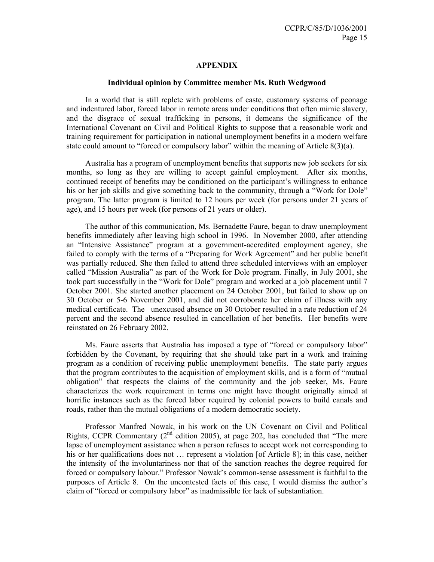#### **APPENDIX**

#### **Individual opinion by Committee member Ms. Ruth Wedgwood**

 In a world that is still replete with problems of caste, customary systems of peonage and indentured labor, forced labor in remote areas under conditions that often mimic slavery, and the disgrace of sexual trafficking in persons, it demeans the significance of the International Covenant on Civil and Political Rights to suppose that a reasonable work and training requirement for participation in national unemployment benefits in a modern welfare state could amount to "forced or compulsory labor" within the meaning of Article 8(3)(a).

 Australia has a program of unemployment benefits that supports new job seekers for six months, so long as they are willing to accept gainful employment. After six months, continued receipt of benefits may be conditioned on the participant's willingness to enhance his or her job skills and give something back to the community, through a "Work for Dole" program. The latter program is limited to 12 hours per week (for persons under 21 years of age), and 15 hours per week (for persons of 21 years or older).

 The author of this communication, Ms. Bernadette Faure, began to draw unemployment benefits immediately after leaving high school in 1996. In November 2000, after attending an "Intensive Assistance" program at a government-accredited employment agency, she failed to comply with the terms of a "Preparing for Work Agreement" and her public benefit was partially reduced. She then failed to attend three scheduled interviews with an employer called "Mission Australia" as part of the Work for Dole program. Finally, in July 2001, she took part successfully in the "Work for Dole" program and worked at a job placement until 7 October 2001. She started another placement on 24 October 2001, but failed to show up on 30 October or 5-6 November 2001, and did not corroborate her claim of illness with any medical certificate. The unexcused absence on 30 October resulted in a rate reduction of 24 percent and the second absence resulted in cancellation of her benefits. Her benefits were reinstated on 26 February 2002.

 Ms. Faure asserts that Australia has imposed a type of "forced or compulsory labor" forbidden by the Covenant, by requiring that she should take part in a work and training program as a condition of receiving public unemployment benefits. The state party argues that the program contributes to the acquisition of employment skills, and is a form of "mutual obligation" that respects the claims of the community and the job seeker, Ms. Faure characterizes the work requirement in terms one might have thought originally aimed at horrific instances such as the forced labor required by colonial powers to build canals and roads, rather than the mutual obligations of a modern democratic society.

 Professor Manfred Nowak, in his work on the UN Covenant on Civil and Political Rights, CCPR Commentary  $(2^{nd}$  edition 2005), at page 202, has concluded that "The mere lapse of unemployment assistance when a person refuses to accept work not corresponding to his or her qualifications does not ... represent a violation [of Article 8]; in this case, neither the intensity of the involuntariness nor that of the sanction reaches the degree required for forced or compulsory labour." Professor Nowak's common-sense assessment is faithful to the purposes of Article 8. On the uncontested facts of this case, I would dismiss the author's claim of "forced or compulsory labor" as inadmissible for lack of substantiation.